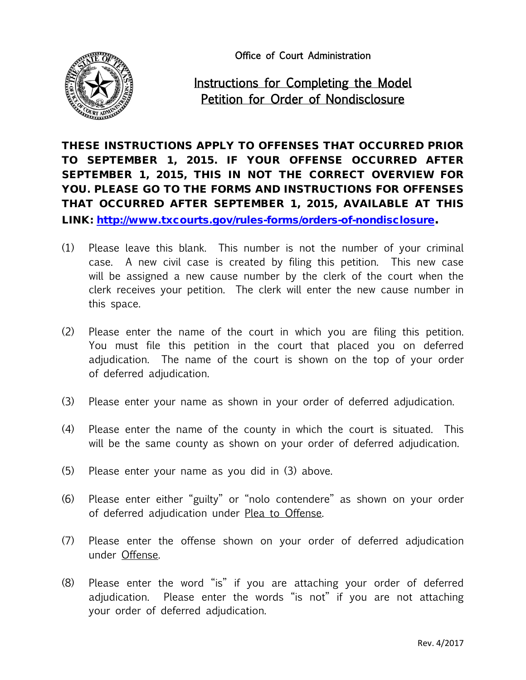Office of Court Administration



## Instructions for Completing the Model Petition for Order of Nondisclosure

THESE INSTRUCTIONS APPLY TO OFFENSES THAT OCCURRED PRIOR TO SEPTEMBER 1, 2015. IF YOUR OFFENSE OCCURRED AFTER SEPTEMBER 1, 2015, THIS IN NOT THE CORRECT OVERVIEW FOR YOU. PLEASE GO TO THE FORMS AND INSTRUCTIONS FOR OFFENSES THAT OCCURRED AFTER SEPTEMBER 1, 2015, AVAILABLE AT THIS LINK: [http://www.txcourts.gov/rules-forms/orders-of-nondisclosure.](http://www.txcourts.gov/rules-forms/orders-of-nondisclosure)

- (1) Please leave this blank. This number is not the number of your criminal case. A new civil case is created by filing this petition. This new case will be assigned a new cause number by the clerk of the court when the clerk receives your petition. The clerk will enter the new cause number in this space.
- (2) Please enter the name of the court in which you are filing this petition. You must file this petition in the court that placed you on deferred adjudication. The name of the court is shown on the top of your order of deferred adjudication.
- (3) Please enter your name as shown in your order of deferred adjudication.
- (4) Please enter the name of the county in which the court is situated. This will be the same county as shown on your order of deferred adjudication.
- (5) Please enter your name as you did in (3) above.
- (6) Please enter either "guilty" or "nolo contendere" as shown on your order of deferred adjudication under Plea to Offense.
- (7) Please enter the offense shown on your order of deferred adjudication under Offense.
- (8) Please enter the word "is" if you are attaching your order of deferred adjudication. Please enter the words "is not" if you are not attaching your order of deferred adjudication.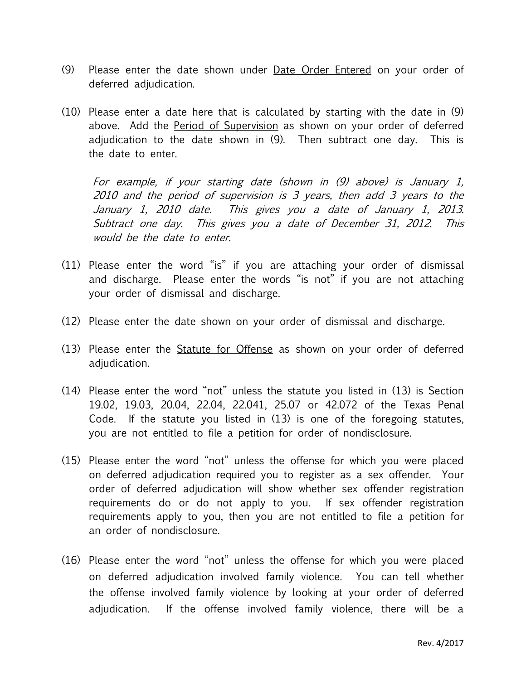- (9) Please enter the date shown under Date Order Entered on your order of deferred adjudication.
- (10) Please enter a date here that is calculated by starting with the date in (9) above. Add the Period of Supervision as shown on your order of deferred adjudication to the date shown in (9). Then subtract one day. This is the date to enter.

For example, if your starting date (shown in (9) above) is January 1, 2010 and the period of supervision is 3 years, then add 3 years to the January 1, 2010 date. This gives you a date of January 1, 2013. Subtract one day. This gives you a date of December 31, 2012. This would be the date to enter.

- (11) Please enter the word "is" if you are attaching your order of dismissal and discharge. Please enter the words "is not" if you are not attaching your order of dismissal and discharge.
- (12) Please enter the date shown on your order of dismissal and discharge.
- (13) Please enter the Statute for Offense as shown on your order of deferred adjudication.
- (14) Please enter the word "not" unless the statute you listed in (13) is Section 19.02, 19.03, 20.04, 22.04, 22.041, 25.07 or 42.072 of the Texas Penal Code. If the statute you listed in (13) is one of the foregoing statutes, you are not entitled to file a petition for order of nondisclosure.
- (15) Please enter the word "not" unless the offense for which you were placed on deferred adjudication required you to register as a sex offender. Your order of deferred adjudication will show whether sex offender registration requirements do or do not apply to you. If sex offender registration requirements apply to you, then you are not entitled to file a petition for an order of nondisclosure.
- (16) Please enter the word "not" unless the offense for which you were placed on deferred adjudication involved family violence. You can tell whether the offense involved family violence by looking at your order of deferred adjudication. If the offense involved family violence, there will be a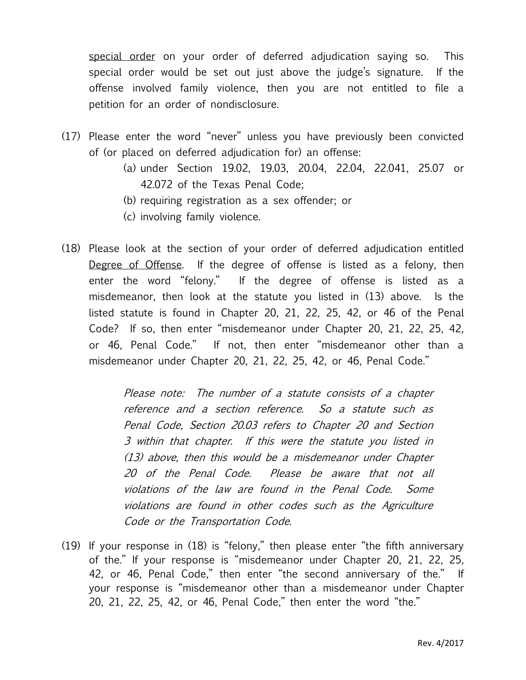special order on your order of deferred adjudication saying so. This special order would be set out just above the judge's signature. If the offense involved family violence, then you are not entitled to file a petition for an order of nondisclosure.

- (17) Please enter the word "never" unless you have previously been convicted of (or placed on deferred adjudication for) an offense:
	- (a) under Section 19.02, 19.03, 20.04, 22.04, 22.041, 25.07 or 42.072 of the Texas Penal Code;
	- (b) requiring registration as a sex offender; or
	- (c) involving family violence.
- (18) Please look at the section of your order of deferred adjudication entitled Degree of Offense. If the degree of offense is listed as a felony, then enter the word "felony." If the degree of offense is listed as a misdemeanor, then look at the statute you listed in (13) above. Is the listed statute is found in Chapter 20, 21, 22, 25, 42, or 46 of the Penal Code? If so, then enter "misdemeanor under Chapter 20, 21, 22, 25, 42, or 46, Penal Code." If not, then enter "misdemeanor other than a misdemeanor under Chapter 20, 21, 22, 25, 42, or 46, Penal Code."

Please note: The number of a statute consists of a chapter reference and a section reference. So a statute such as Penal Code, Section 20.03 refers to Chapter 20 and Section 3 within that chapter. If this were the statute you listed in (13) above, then this would be a misdemeanor under Chapter 20 of the Penal Code. Please be aware that not all violations of the law are found in the Penal Code. Some violations are found in other codes such as the Agriculture Code or the Transportation Code.

(19) If your response in (18) is "felony," then please enter "the fifth anniversary of the." If your response is "misdemeanor under Chapter 20, 21, 22, 25, 42, or 46, Penal Code," then enter "the second anniversary of the." If your response is "misdemeanor other than a misdemeanor under Chapter 20, 21, 22, 25, 42, or 46, Penal Code," then enter the word "the."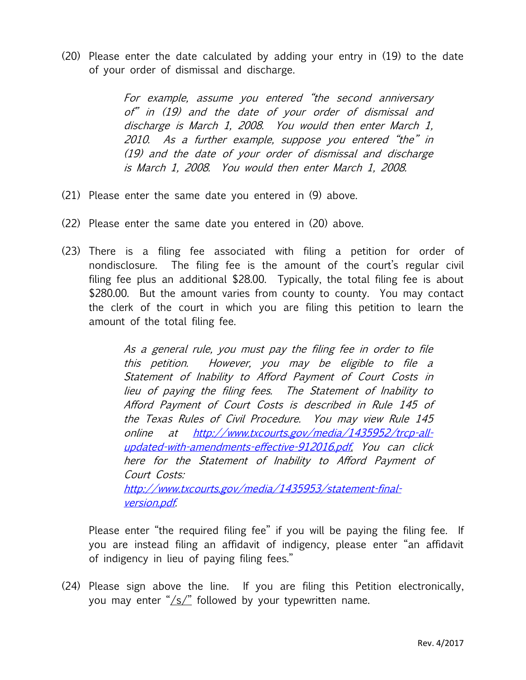(20) Please enter the date calculated by adding your entry in (19) to the date of your order of dismissal and discharge.

> For example, assume you entered "the second anniversary of" in (19) and the date of your order of dismissal and discharge is March 1, 2008. You would then enter March 1, 2010. As a further example, suppose you entered "the" in (19) and the date of your order of dismissal and discharge is March 1, 2008. You would then enter March 1, 2008.

- (21) Please enter the same date you entered in (9) above.
- (22) Please enter the same date you entered in (20) above.
- (23) There is a filing fee associated with filing a petition for order of nondisclosure. The filing fee is the amount of the court's regular civil filing fee plus an additional \$28.00. Typically, the total filing fee is about \$280.00. But the amount varies from county to county. You may contact the clerk of the court in which you are filing this petition to learn the amount of the total filing fee.

As a general rule, you must pay the filing fee in order to file this petition. However, you may be eligible to file a Statement of Inability to Afford Payment of Court Costs in lieu of paying the filing fees. The Statement of Inability to Afford Payment of Court Costs is described in Rule 145 of the Texas Rules of Civil Procedure. You may view Rule 145 online at [http://www.txcourts.gov/media/1435952/trcp-all](http://www.txcourts.gov/media/1435952/trcp-all-updated-with-amendments-effective-912016.pdf)[updated-with-amendments-effective-912016.pdf.](http://www.txcourts.gov/media/1435952/trcp-all-updated-with-amendments-effective-912016.pdf) You can click here for the Statement of Inability to Afford Payment of Court Costs: [http://www.txcourts.gov/media/1435953/statement-final](http://www.txcourts.gov/media/1435953/statement-final-version.pdf)[version.pdf.](http://www.txcourts.gov/media/1435953/statement-final-version.pdf)

Please enter "the required filing fee" if you will be paying the filing fee. If you are instead filing an affidavit of indigency, please enter "an affidavit of indigency in lieu of paying filing fees."

(24) Please sign above the line. If you are filing this Petition electronically, you may enter "/s/" followed by your typewritten name.